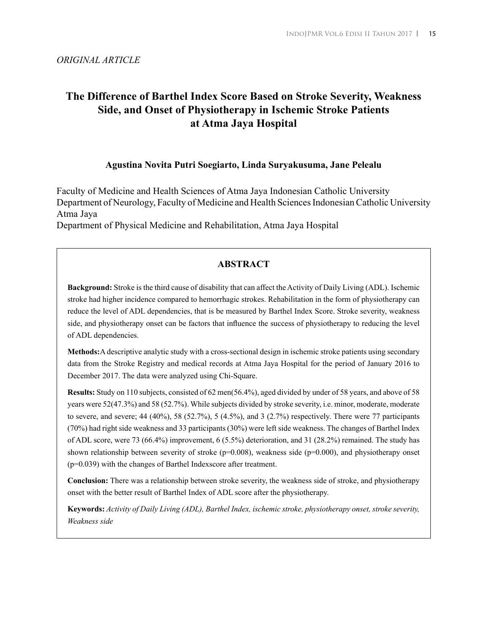### *ORIGINAL ARTICLE*

# **The Difference of Barthel Index Score Based on Stroke Severity, Weakness Side, and Onset of Physiotherapy in Ischemic Stroke Patients at Atma Jaya Hospital**

### **Agustina Novita Putri Soegiarto, Linda Suryakusuma, Jane Pelealu**

Faculty of Medicine and Health Sciences of Atma Jaya Indonesian Catholic University Department of Neurology, Faculty of Medicine and Health Sciences Indonesian Catholic University Atma Jaya

Department of Physical Medicine and Rehabilitation, Atma Jaya Hospital

# **ABSTRACT**

**Background:** Stroke is the third cause of disability that can affect the Activity of Daily Living (ADL). Ischemic stroke had higher incidence compared to hemorrhagic strokes. Rehabilitation in the form of physiotherapy can reduce the level of ADL dependencies, that is be measured by Barthel Index Score. Stroke severity, weakness side, and physiotherapy onset can be factors that influence the success of physiotherapy to reducing the level of ADL dependencies.

**Methods:**A descriptive analytic study with a cross-sectional design in ischemic stroke patients using secondary data from the Stroke Registry and medical records at Atma Jaya Hospital for the period of January 2016 to December 2017. The data were analyzed using Chi-Square.

**Results:** Study on 110 subjects, consisted of 62 men(56.4%), aged divided by under of 58 years, and above of 58 years were 52(47.3%) and 58 (52.7%). While subjects divided by stroke severity, i.e. minor, moderate, moderate to severe, and severe;  $44$  ( $40\%$ ),  $58$  ( $52.7\%$ ),  $5$  ( $4.5\%$ ), and  $3$  ( $2.7\%$ ) respectively. There were 77 participants (70%) had right side weakness and 33 participants (30%) were left side weakness. The changes of Barthel Index of ADL score, were 73 (66.4%) improvement, 6 (5.5%) deterioration, and 31 (28.2%) remained. The study has shown relationship between severity of stroke (p=0.008), weakness side (p=0.000), and physiotherapy onset (p=0.039) with the changes of Barthel Indexscore after treatment.

**Conclusion:** There was a relationship between stroke severity, the weakness side of stroke, and physiotherapy onset with the better result of Barthel Index of ADL score after the physiotherapy.

**Keywords:** *Activity of Daily Living (ADL), Barthel Index, ischemic stroke, physiotherapy onset, stroke severity, Weakness side*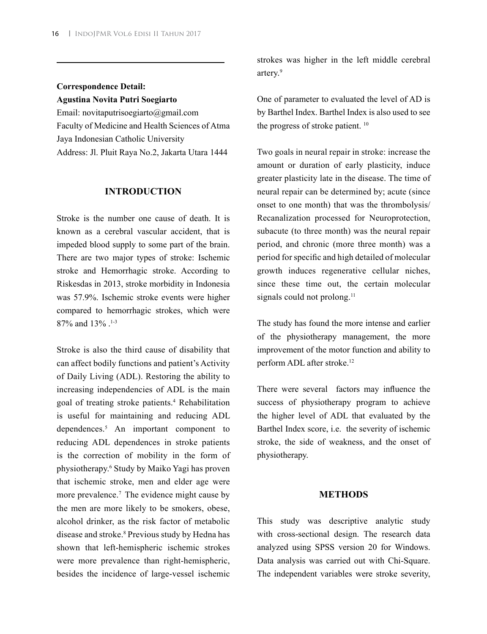# **Correspondence Detail: Agustina Novita Putri Soegiarto**

Email: novitaputrisoegiarto@gmail.com Faculty of Medicine and Health Sciences of Atma Jaya Indonesian Catholic University Address: Jl. Pluit Raya No.2, Jakarta Utara 1444

#### **INTRODUCTION**

Stroke is the number one cause of death. It is known as a cerebral vascular accident, that is impeded blood supply to some part of the brain. There are two major types of stroke: Ischemic stroke and Hemorrhagic stroke. According to Riskesdas in 2013, stroke morbidity in Indonesia was 57.9%. Ischemic stroke events were higher compared to hemorrhagic strokes, which were 87% and 13% .<sup>1-3</sup>

Stroke is also the third cause of disability that can affect bodily functions and patient's Activity of Daily Living (ADL). Restoring the ability to increasing independencies of ADL is the main goal of treating stroke patients.4 Rehabilitation is useful for maintaining and reducing ADL dependences.5 An important component to reducing ADL dependences in stroke patients is the correction of mobility in the form of physiotherapy.<sup>6</sup> Study by Maiko Yagi has proven that ischemic stroke, men and elder age were more prevalence.<sup>7</sup> The evidence might cause by the men are more likely to be smokers, obese, alcohol drinker, as the risk factor of metabolic disease and stroke.8 Previous study by Hedna has shown that left-hemispheric ischemic strokes were more prevalence than right-hemispheric, besides the incidence of large-vessel ischemic

strokes was higher in the left middle cerebral artery.9

One of parameter to evaluated the level of AD is by Barthel Index. Barthel Index is also used to see the progress of stroke patient. 10

Two goals in neural repair in stroke: increase the amount or duration of early plasticity, induce greater plasticity late in the disease. The time of neural repair can be determined by; acute (since onset to one month) that was the thrombolysis/ Recanalization processed for Neuroprotection, subacute (to three month) was the neural repair period, and chronic (more three month) was a period for specific and high detailed of molecular growth induces regenerative cellular niches, since these time out, the certain molecular signals could not prolong.<sup>11</sup>

The study has found the more intense and earlier of the physiotherapy management, the more improvement of the motor function and ability to perform ADL after stroke.12

There were several factors may influence the success of physiotherapy program to achieve the higher level of ADL that evaluated by the Barthel Index score, i.e. the severity of ischemic stroke, the side of weakness, and the onset of physiotherapy.

#### **METHODS**

This study was descriptive analytic study with cross-sectional design. The research data analyzed using SPSS version 20 for Windows. Data analysis was carried out with Chi-Square. The independent variables were stroke severity,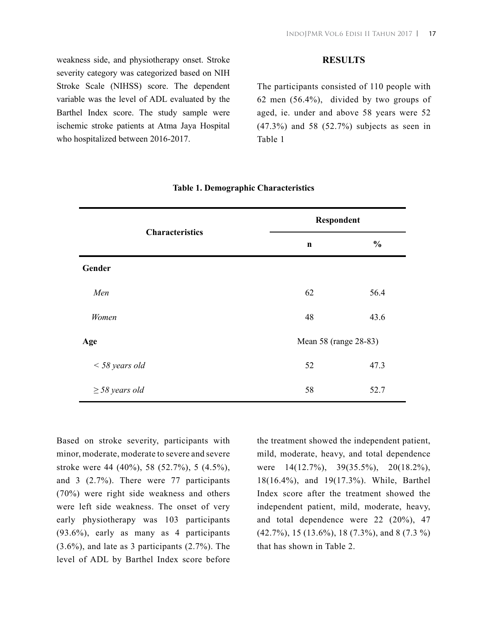weakness side, and physiotherapy onset. Stroke severity category was categorized based on NIH Stroke Scale (NIHSS) score. The dependent variable was the level of ADL evaluated by the Barthel Index score. The study sample were ischemic stroke patients at Atma Jaya Hospital who hospitalized between 2016-2017.

#### **RESULTS**

The participants consisted of 110 people with 62 men (56.4%), divided by two groups of aged, ie. under and above 58 years were 52 (47.3%) and 58 (52.7%) subjects as seen in Table 1

| <b>Characteristics</b> | Respondent            |               |
|------------------------|-----------------------|---------------|
|                        | $\mathbf n$           | $\frac{0}{0}$ |
| Gender                 |                       |               |
| Men                    | 62                    | 56.4          |
| Women                  | 48                    | 43.6          |
| Age                    | Mean 58 (range 28-83) |               |
| $<$ 58 years old       | 52                    | 47.3          |
| $\geq$ 58 years old    | 58                    | 52.7          |

#### **Table 1. Demographic Characteristics**

Based on stroke severity, participants with minor, moderate, moderate to severe and severe stroke were 44 (40%), 58 (52.7%), 5 (4.5%), and 3 (2.7%). There were 77 participants (70%) were right side weakness and others were left side weakness. The onset of very early physiotherapy was 103 participants (93.6%), early as many as 4 participants (3.6%), and late as 3 participants (2.7%). The level of ADL by Barthel Index score before the treatment showed the independent patient, mild, moderate, heavy, and total dependence were 14(12.7%), 39(35.5%), 20(18.2%), 18(16.4%), and 19(17.3%). While, Barthel Index score after the treatment showed the independent patient, mild, moderate, heavy, and total dependence were 22 (20%), 47 (42.7%), 15 (13.6%), 18 (7.3%), and 8 (7.3 %) that has shown in Table 2.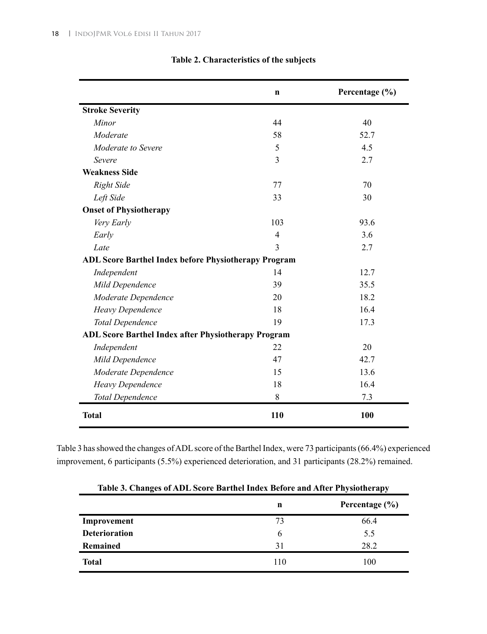|                                                             | $\mathbf n$    | Percentage (%) |
|-------------------------------------------------------------|----------------|----------------|
| <b>Stroke Severity</b>                                      |                |                |
| Minor                                                       | 44             | 40             |
| Moderate                                                    | 58             | 52.7           |
| <i>Moderate to Severe</i>                                   | 5              | 4.5            |
| Severe                                                      | 3              | 2.7            |
| <b>Weakness Side</b>                                        |                |                |
| <b>Right Side</b>                                           | 77             | 70             |
| Left Side                                                   | 33             | 30             |
| <b>Onset of Physiotherapy</b>                               |                |                |
| Very Early                                                  | 103            | 93.6           |
| Early                                                       | $\overline{4}$ | 3.6            |
| Late                                                        | 3              | 2.7            |
| <b>ADL Score Barthel Index before Physiotherapy Program</b> |                |                |
| Independent                                                 | 14             | 12.7           |
| Mild Dependence                                             | 39             | 35.5           |
| Moderate Dependence                                         | 20             | 18.2           |
| Heavy Dependence                                            | 18             | 16.4           |
| <b>Total Dependence</b>                                     | 19             | 17.3           |
| ADL Score Barthel Index after Physiotherapy Program         |                |                |
| Independent                                                 | 22             | 20             |
| Mild Dependence                                             | 47             | 42.7           |
| Moderate Dependence                                         | 15             | 13.6           |
| Heavy Dependence                                            | 18             | 16.4           |
| <b>Total Dependence</b>                                     | 8              | 7.3            |
| <b>Total</b>                                                | 110            | 100            |

## **Table 2. Characteristics of the subjects**

Table 3 has showed the changes of ADL score of the Barthel Index, were 73 participants (66.4%) experienced improvement, 6 participants (5.5%) experienced deterioration, and 31 participants (28.2%) remained.

| Table 3. Changes of ADL Score Barthel Index Before and After Physiotherapy |                         |      |  |  |  |  |  |
|----------------------------------------------------------------------------|-------------------------|------|--|--|--|--|--|
|                                                                            | Percentage $(\% )$<br>n |      |  |  |  |  |  |
| Improvement                                                                | 73                      | 66.4 |  |  |  |  |  |
| <b>Deterioration</b>                                                       | 6                       | 5.5  |  |  |  |  |  |
| <b>Remained</b>                                                            | 31                      | 28.2 |  |  |  |  |  |
| <b>Total</b>                                                               | 110                     | 100  |  |  |  |  |  |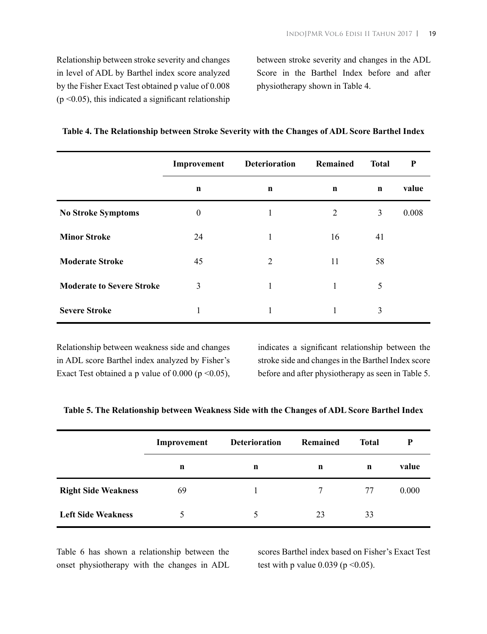Relationship between stroke severity and changes in level of ADL by Barthel index score analyzed by the Fisher Exact Test obtained p value of 0.008  $(p \le 0.05)$ , this indicated a significant relationship

between stroke severity and changes in the ADL Score in the Barthel Index before and after physiotherapy shown in Table 4.

|                                  | Improvement      | <b>Deterioration</b> | Remained       | <b>Total</b> | ${\bf P}$ |
|----------------------------------|------------------|----------------------|----------------|--------------|-----------|
|                                  | $\mathbf n$      | n                    | $\mathbf n$    | $\mathbf n$  | value     |
| <b>No Stroke Symptoms</b>        | $\boldsymbol{0}$ | 1                    | $\overline{2}$ | 3            | 0.008     |
| <b>Minor Stroke</b>              | 24               | 1                    | 16             | 41           |           |
| <b>Moderate Stroke</b>           | 45               | $\overline{2}$       | 11             | 58           |           |
| <b>Moderate to Severe Stroke</b> | 3                | 1                    | 1              | 5            |           |
| <b>Severe Stroke</b>             | $\mathbf{1}$     | 1                    | 1              | 3            |           |

|  | Table 4. The Relationship between Stroke Severity with the Changes of ADL Score Barthel Index |
|--|-----------------------------------------------------------------------------------------------|
|  |                                                                                               |

Relationship between weakness side and changes in ADL score Barthel index analyzed by Fisher's Exact Test obtained a p value of  $0.000$  (p < 0.05),

indicates a significant relationship between the stroke side and changes in the Barthel Index score before and after physiotherapy as seen in Table 5.

|  |  |  |  |  | Table 5. The Relationship between Weakness Side with the Changes of ADL Score Barthel Index |  |  |  |
|--|--|--|--|--|---------------------------------------------------------------------------------------------|--|--|--|
|  |  |  |  |  |                                                                                             |  |  |  |

|                            | Improvement | <b>Deterioration</b> | <b>Remained</b> | Total       | P     |
|----------------------------|-------------|----------------------|-----------------|-------------|-------|
|                            | n           | n                    | $\mathbf n$     | $\mathbf n$ | value |
| <b>Right Side Weakness</b> | 69          |                      | 7               | 77          | 0.000 |
| <b>Left Side Weakness</b>  | $\Delta$    | 5                    | 23              | 33          |       |

Table 6 has shown a relationship between the onset physiotherapy with the changes in ADL scores Barthel index based on Fisher's Exact Test test with p value  $0.039$  (p < 0.05).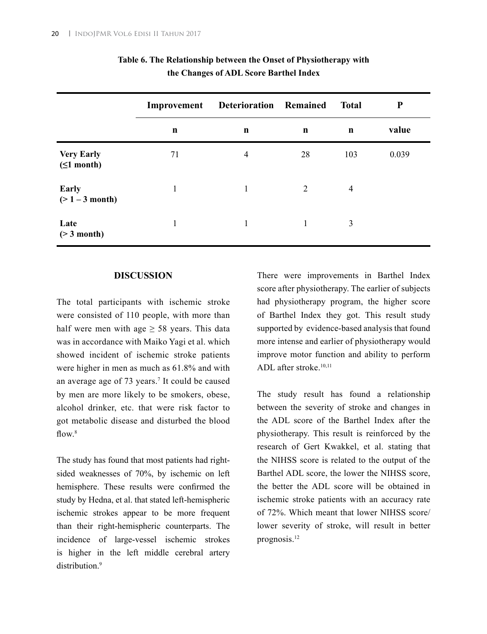|                                        | Improvement | Deterioration Remained |             | <b>Total</b>   | $\mathbf P$ |
|----------------------------------------|-------------|------------------------|-------------|----------------|-------------|
|                                        | n           | n                      | $\mathbf n$ | $\mathbf n$    | value       |
| <b>Very Early</b><br>$( \leq 1$ month) | 71          | 4                      | 28          | 103            | 0.039       |
| <b>Early</b><br>$(>1 - 3$ month)       |             | 1                      | 2           | $\overline{4}$ |             |
| Late<br>$($ > 3 month)                 |             | 1                      |             | 3              |             |

|  | Table 6. The Relationship between the Onset of Physiotherapy with |  |  |
|--|-------------------------------------------------------------------|--|--|
|  | the Changes of ADL Score Barthel Index                            |  |  |

#### **DISCUSSION**

The total participants with ischemic stroke were consisted of 110 people, with more than half were men with age  $\geq$  58 years. This data was in accordance with Maiko Yagi et al. which showed incident of ischemic stroke patients were higher in men as much as 61.8% and with an average age of 73 years.7 It could be caused by men are more likely to be smokers, obese, alcohol drinker, etc. that were risk factor to got metabolic disease and disturbed the blood flow  $8$ 

The study has found that most patients had rightsided weaknesses of 70%, by ischemic on left hemisphere. These results were confirmed the study by Hedna, et al. that stated left-hemispheric ischemic strokes appear to be more frequent than their right-hemispheric counterparts. The incidence of large-vessel ischemic strokes is higher in the left middle cerebral artery distribution<sup>9</sup>

There were improvements in Barthel Index score after physiotherapy. The earlier of subjects had physiotherapy program, the higher score of Barthel Index they got. This result study supported by evidence-based analysis that found more intense and earlier of physiotherapy would improve motor function and ability to perform ADL after stroke.10,11

The study result has found a relationship between the severity of stroke and changes in the ADL score of the Barthel Index after the physiotherapy. This result is reinforced by the research of Gert Kwakkel, et al. stating that the NIHSS score is related to the output of the Barthel ADL score, the lower the NIHSS score, the better the ADL score will be obtained in ischemic stroke patients with an accuracy rate of 72%. Which meant that lower NIHSS score/ lower severity of stroke, will result in better prognosis.12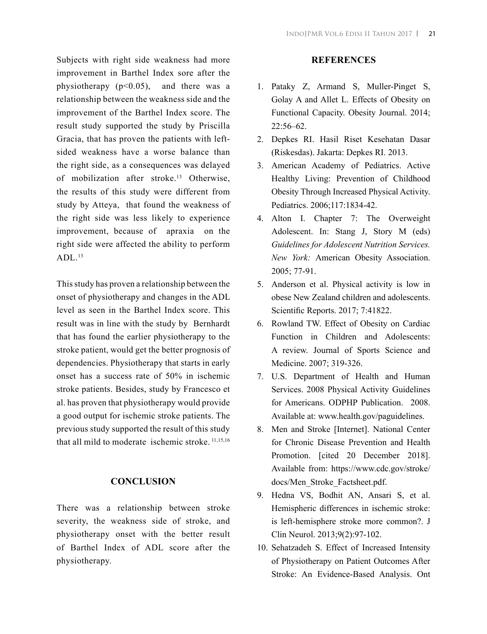Subjects with right side weakness had more improvement in Barthel Index sore after the physiotherapy  $(p<0.05)$ , and there was a relationship between the weakness side and the improvement of the Barthel Index score. The result study supported the study by Priscilla Gracia, that has proven the patients with leftsided weakness have a worse balance than the right side, as a consequences was delayed of mobilization after stroke.<sup>13</sup> Otherwise, the results of this study were different from study by Atteya, that found the weakness of the right side was less likely to experience improvement, because of apraxia on the right side were affected the ability to perform  $ADL<sup>13</sup>$ 

This study has proven a relationship between the onset of physiotherapy and changes in the ADL level as seen in the Barthel Index score. This result was in line with the study by Bernhardt that has found the earlier physiotherapy to the stroke patient, would get the better prognosis of dependencies. Physiotherapy that starts in early onset has a success rate of 50% in ischemic stroke patients. Besides, study by Francesco et al. has proven that physiotherapy would provide a good output for ischemic stroke patients. The previous study supported the result of this study that all mild to moderate ischemic stroke. 11,15,16

#### **CONCLUSION**

There was a relationship between stroke severity, the weakness side of stroke, and physiotherapy onset with the better result of Barthel Index of ADL score after the physiotherapy.

#### **REFERENCES**

- 1. Pataky Z, Armand S, Muller-Pinget S, Golay A and Allet L. Effects of Obesity on Functional Capacity. Obesity Journal. 2014;  $22:56-62$
- 2. Depkes RI. Hasil Riset Kesehatan Dasar (Riskesdas). Jakarta: Depkes RI. 2013.
- 3. American Academy of Pediatrics. Active Healthy Living: Prevention of Childhood Obesity Through Increased Physical Activity. Pediatrics. 2006;117:1834-42.
- 4. Alton I. Chapter 7: The Overweight Adolescent. In: Stang J, Story M (eds) *Guidelines for Adolescent Nutrition Services. New York:* American Obesity Association. 2005; 77-91.
- 5. Anderson et al. Physical activity is low in obese New Zealand children and adolescents. Scientific Reports. 2017; 7:41822.
- 6. Rowland TW. Effect of Obesity on Cardiac Function in Children and Adolescents: A review. Journal of Sports Science and Medicine. 2007; 319-326.
- 7. U.S. Department of Health and Human Services. 2008 Physical Activity Guidelines for Americans. ODPHP Publication. 2008. Available at: www.health.gov/paguidelines.
- 8. Men and Stroke [Internet]. National Center for Chronic Disease Prevention and Health Promotion. [cited 20 December 2018]. Available from: https://www.cdc.gov/stroke/ docs/Men\_Stroke\_Factsheet.pdf.
- 9. Hedna VS, Bodhit AN, Ansari S, et al. Hemispheric differences in ischemic stroke: is left-hemisphere stroke more common?. J Clin Neurol. 2013;9(2):97-102.
- 10. Sehatzadeh S. Effect of Increased Intensity of Physiotherapy on Patient Outcomes After Stroke: An Evidence-Based Analysis. Ont